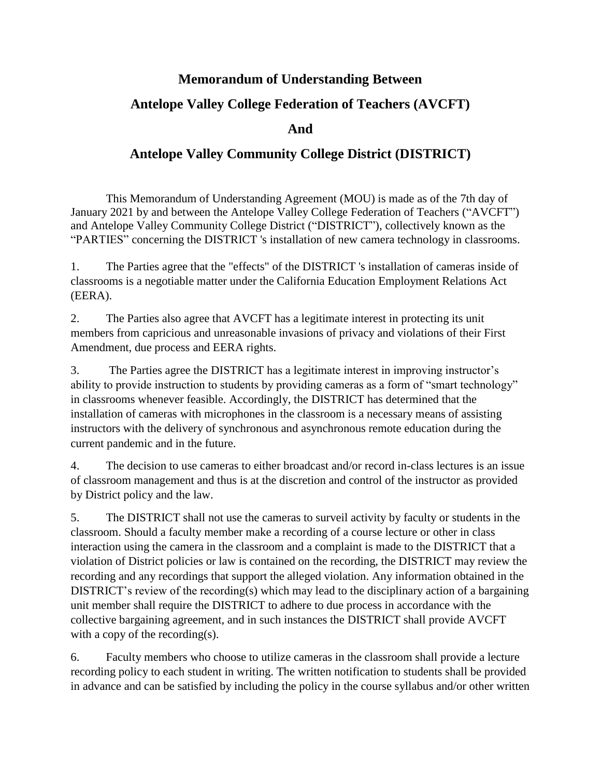## **Memorandum of Understanding Between**

## **Antelope Valley College Federation of Teachers (AVCFT)**

**And**

## **Antelope Valley Community College District (DISTRICT)**

This Memorandum of Understanding Agreement (MOU) is made as of the 7th day of January 2021 by and between the Antelope Valley College Federation of Teachers ("AVCFT") and Antelope Valley Community College District ("DISTRICT"), collectively known as the "PARTIES" concerning the DISTRICT 's installation of new camera technology in classrooms.

1. The Parties agree that the "effects" of the DISTRICT 's installation of cameras inside of classrooms is a negotiable matter under the California Education Employment Relations Act (EERA).

2. The Parties also agree that AVCFT has a legitimate interest in protecting its unit members from capricious and unreasonable invasions of privacy and violations of their First Amendment, due process and EERA rights.

3. The Parties agree the DISTRICT has a legitimate interest in improving instructor's ability to provide instruction to students by providing cameras as a form of "smart technology" in classrooms whenever feasible. Accordingly, the DISTRICT has determined that the installation of cameras with microphones in the classroom is a necessary means of assisting instructors with the delivery of synchronous and asynchronous remote education during the current pandemic and in the future.

4. The decision to use cameras to either broadcast and/or record in-class lectures is an issue of classroom management and thus is at the discretion and control of the instructor as provided by District policy and the law.

5. The DISTRICT shall not use the cameras to surveil activity by faculty or students in the classroom. Should a faculty member make a recording of a course lecture or other in class interaction using the camera in the classroom and a complaint is made to the DISTRICT that a violation of District policies or law is contained on the recording, the DISTRICT may review the recording and any recordings that support the alleged violation. Any information obtained in the DISTRICT's review of the recording(s) which may lead to the disciplinary action of a bargaining unit member shall require the DISTRICT to adhere to due process in accordance with the collective bargaining agreement, and in such instances the DISTRICT shall provide AVCFT with a copy of the recording(s).

6. Faculty members who choose to utilize cameras in the classroom shall provide a lecture recording policy to each student in writing. The written notification to students shall be provided in advance and can be satisfied by including the policy in the course syllabus and/or other written